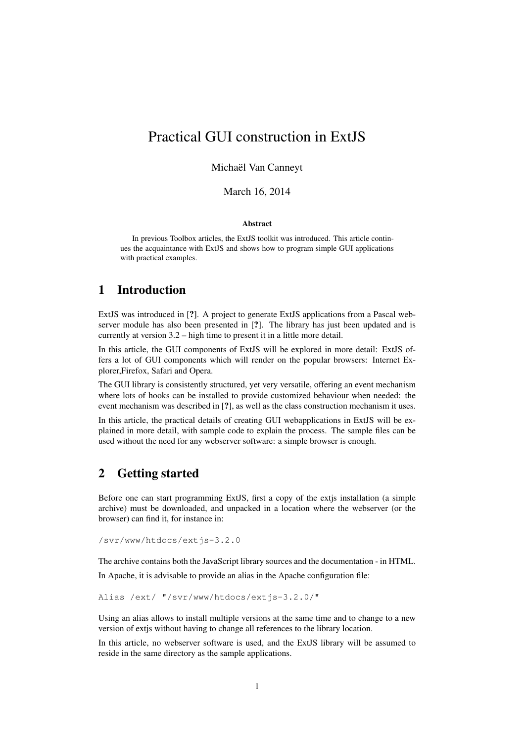# Practical GUI construction in ExtJS

Michaël Van Canneyt

March 16, 2014

#### Abstract

In previous Toolbox articles, the ExtJS toolkit was introduced. This article continues the acquaintance with ExtJS and shows how to program simple GUI applications with practical examples.

### 1 Introduction

ExtJS was introduced in [?]. A project to generate ExtJS applications from a Pascal webserver module has also been presented in [?]. The library has just been updated and is currently at version 3.2 – high time to present it in a little more detail.

In this article, the GUI components of ExtJS will be explored in more detail: ExtJS offers a lot of GUI components which will render on the popular browsers: Internet Explorer,Firefox, Safari and Opera.

The GUI library is consistently structured, yet very versatile, offering an event mechanism where lots of hooks can be installed to provide customized behaviour when needed: the event mechanism was described in [?], as well as the class construction mechanism it uses.

In this article, the practical details of creating GUI webapplications in ExtJS will be explained in more detail, with sample code to explain the process. The sample files can be used without the need for any webserver software: a simple browser is enough.

### 2 Getting started

Before one can start programming ExtJS, first a copy of the extjs installation (a simple archive) must be downloaded, and unpacked in a location where the webserver (or the browser) can find it, for instance in:

/svr/www/htdocs/extjs-3.2.0

The archive contains both the JavaScript library sources and the documentation - in HTML.

In Apache, it is advisable to provide an alias in the Apache configuration file:

Alias /ext/ "/svr/www/htdocs/extjs-3.2.0/"

Using an alias allows to install multiple versions at the same time and to change to a new version of extjs without having to change all references to the library location.

In this article, no webserver software is used, and the ExtJS library will be assumed to reside in the same directory as the sample applications.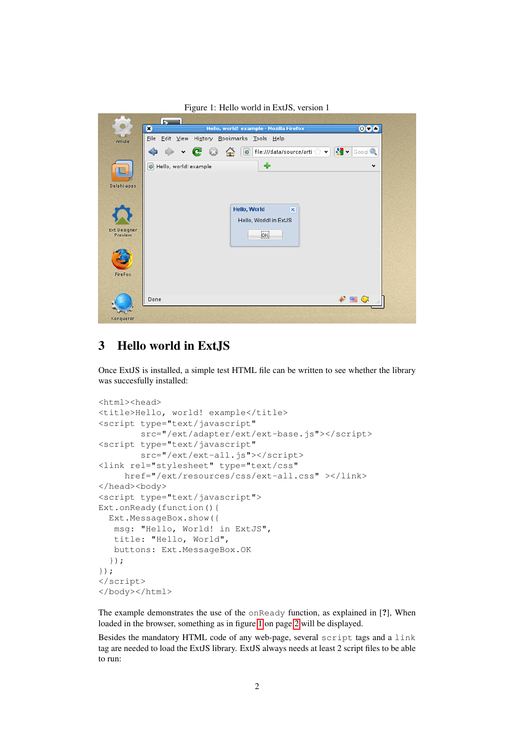<span id="page-1-0"></span>

3 Hello world in ExtJS

Once ExtJS is installed, a simple test HTML file can be written to see whether the library was succesfully installed:

```
<html><head>
<title>Hello, world! example</title>
<script type="text/javascript"
        src="/ext/adapter/ext/ext-base.js"></script>
<script type="text/javascript"
        src="/ext/ext-all.js"></script>
<link rel="stylesheet" type="text/css"
     href="/ext/resources/css/ext-all.css" ></link>
</head><body>
<script type="text/javascript">
Ext.onReady(function(){
 Ext.MessageBox.show({
  msg: "Hello, World! in ExtJS",
  title: "Hello, World",
  buttons: Ext.MessageBox.OK
 });
});
</script>
</body></html>
```
The example demonstrates the use of the onReady function, as explained in [?], When loaded in the browser, something as in figure [1](#page-1-0) on page [2](#page-1-0) will be displayed.

Besides the mandatory HTML code of any web-page, several script tags and a link tag are needed to load the ExtJS library. ExtJS always needs at least 2 script files to be able to run: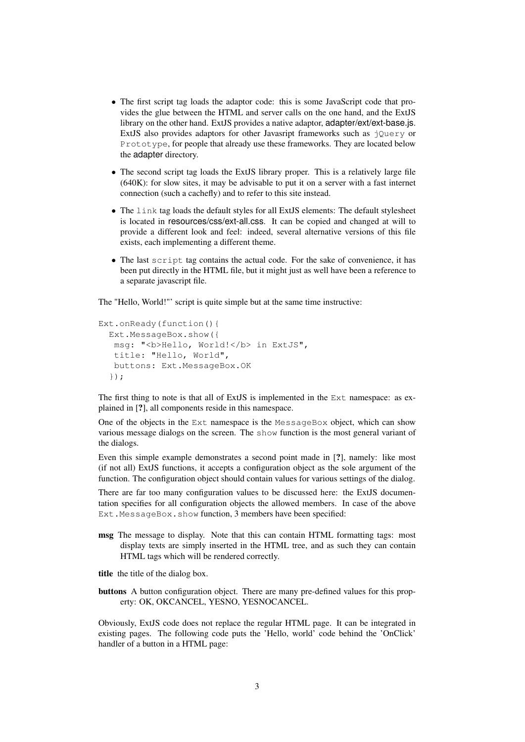- The first script tag loads the adaptor code: this is some JavaScript code that provides the glue between the HTML and server calls on the one hand, and the ExtJS library on the other hand. ExtJS provides a native adaptor, adapter/ext/ext-base.js. ExtJS also provides adaptors for other Javasript frameworks such as jOuery or Prototype, for people that already use these frameworks. They are located below the adapter directory.
- The second script tag loads the ExtJS library proper. This is a relatively large file (640K): for slow sites, it may be advisable to put it on a server with a fast internet connection (such a cachefly) and to refer to this site instead.
- The link tag loads the default styles for all ExtJS elements: The default stylesheet is located in resources/css/ext-all.css. It can be copied and changed at will to provide a different look and feel: indeed, several alternative versions of this file exists, each implementing a different theme.
- The last script tag contains the actual code. For the sake of convenience, it has been put directly in the HTML file, but it might just as well have been a reference to a separate javascript file.

The "Hello, World!"' script is quite simple but at the same time instructive:

```
Ext.onReady(function(){
 Ext.MessageBox.show({
  msg: "<b>Hello, World!</b> in ExtJS",
  title: "Hello, World",
  buttons: Ext.MessageBox.OK
  });
```
The first thing to note is that all of ExtJS is implemented in the Ext namespace: as explained in [?], all components reside in this namespace.

One of the objects in the Ext namespace is the MessageBox object, which can show various message dialogs on the screen. The show function is the most general variant of the dialogs.

Even this simple example demonstrates a second point made in [?], namely: like most (if not all) ExtJS functions, it accepts a configuration object as the sole argument of the function. The configuration object should contain values for various settings of the dialog.

There are far too many configuration values to be discussed here: the ExtJS documentation specifies for all configuration objects the allowed members. In case of the above Ext.MessageBox.show function, 3 members have been specified:

msg The message to display. Note that this can contain HTML formatting tags: most display texts are simply inserted in the HTML tree, and as such they can contain HTML tags which will be rendered correctly.

title the title of the dialog box.

buttons A button configuration object. There are many pre-defined values for this property: OK, OKCANCEL, YESNO, YESNOCANCEL.

Obviously, ExtJS code does not replace the regular HTML page. It can be integrated in existing pages. The following code puts the 'Hello, world' code behind the 'OnClick' handler of a button in a HTML page: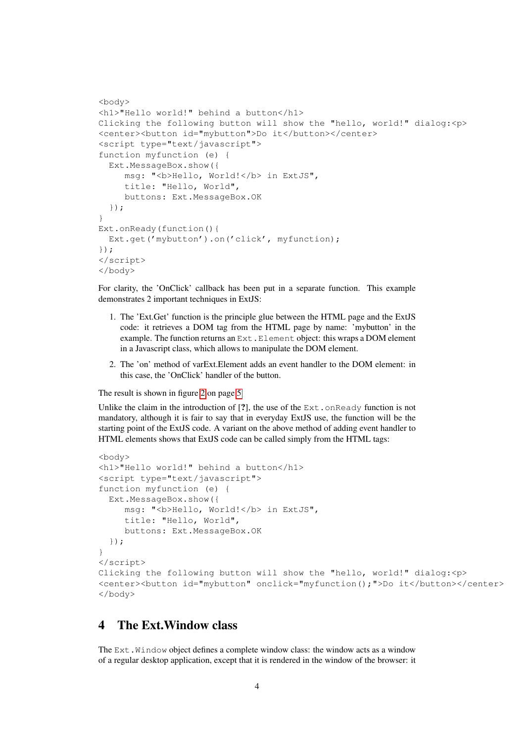```
<body>
<h1>"Hello world!" behind a button</h1>
Clicking the following button will show the "hello, world!" dialog:<p>
<center><button id="mybutton">Do it</button></center>
<script type="text/javascript">
function myfunction (e) {
  Ext.MessageBox.show({
     msq: "<b>Hello, World!</b> in ExtJS",
     title: "Hello, World",
     buttons: Ext.MessageBox.OK
  });
}
Ext.onReady(function(){
  Ext.get('mybutton').on('click', myfunction);
});
</script>
</body>
```
For clarity, the 'OnClick' callback has been put in a separate function. This example demonstrates 2 important techniques in ExtJS:

- 1. The 'Ext.Get' function is the principle glue between the HTML page and the ExtJS code: it retrieves a DOM tag from the HTML page by name: 'mybutton' in the example. The function returns an Ext. Element object: this wraps a DOM element in a Javascript class, which allows to manipulate the DOM element.
- 2. The 'on' method of varExt.Element adds an event handler to the DOM element: in this case, the 'OnClick' handler of the button.

The result is shown in figure [2](#page-4-0) on page [5](#page-4-0)

Unlike the claim in the introduction of  $[?]$ , the use of the Ext.onReady function is not mandatory, although it is fair to say that in everyday ExtJS use, the function will be the starting point of the ExtJS code. A variant on the above method of adding event handler to HTML elements shows that ExtJS code can be called simply from the HTML tags:

```
<body>
<h1>"Hello world!" behind a button</h1>
<script type="text/javascript">
function myfunction (e) {
  Ext.MessageBox.show({
     msg: "<b>Hello, World!</b> in ExtJS",
     title: "Hello, World",
     buttons: Ext.MessageBox.OK
 });
}
</script>
Clicking the following button will show the "hello, world!" dialog:<p>
<center><button id="mybutton" onclick="myfunction();">Do it</button></center>
</body>
```
### 4 The Ext.Window class

The Ext. Window object defines a complete window class: the window acts as a window of a regular desktop application, except that it is rendered in the window of the browser: it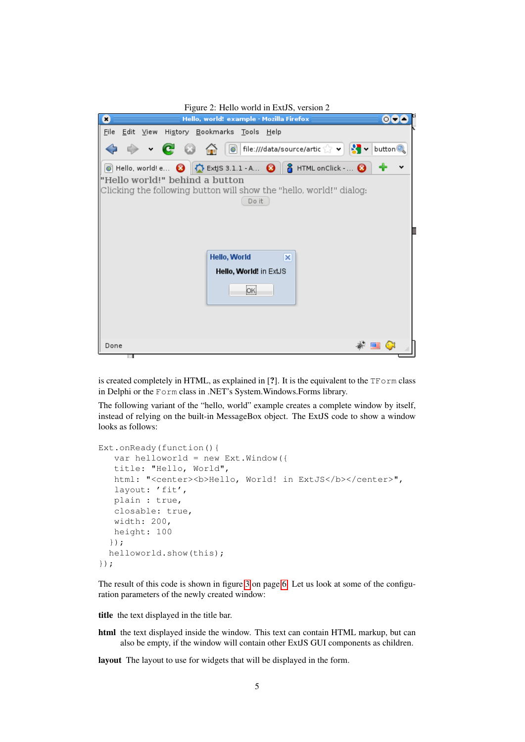<span id="page-4-0"></span>

| Figure 2: Hello world in ExtJS, version 2                                                                                                                 |  |
|-----------------------------------------------------------------------------------------------------------------------------------------------------------|--|
| Hello, world! example - Mozilla Firefox<br>$O\left(\frac{1}{2}\right)$<br>×                                                                               |  |
| <u>F</u> ile <u>E</u> dit <u>V</u> iew Hi <u>s</u> tory <u>B</u> ookmarks Tools Help                                                                      |  |
| v C o m o file:///data/source/artic x v x v button                                                                                                        |  |
| <b>C</b> Hello, world! e <b>B</b> $\left\  \bigoplus_{k=1}^{\infty}$ ExtJS 3.1.1 - A <b>B</b> $\left\  \bigoplus_{k=1}^{\infty}$ HTML on Click - <b>B</b> |  |
| "Hello world!" behind a button                                                                                                                            |  |
| Clicking the following button will show the "hello, world!" dialog:                                                                                       |  |
| Do it                                                                                                                                                     |  |
|                                                                                                                                                           |  |
|                                                                                                                                                           |  |
|                                                                                                                                                           |  |
| Hello, World<br>$\vert x \vert$                                                                                                                           |  |
| Hello, World! in ExtJS                                                                                                                                    |  |
|                                                                                                                                                           |  |
| OK                                                                                                                                                        |  |
|                                                                                                                                                           |  |
|                                                                                                                                                           |  |
|                                                                                                                                                           |  |
| Done<br>医目                                                                                                                                                |  |

is created completely in HTML, as explained in [?]. It is the equivalent to the  $TForm$  class in Delphi or the Form class in .NET's System.Windows.Forms library.

The following variant of the "hello, world" example creates a complete window by itself, instead of relying on the built-in MessageBox object. The ExtJS code to show a window looks as follows:

```
Ext.onReady(function(){
  var helloworld = new Ext.Window({
  title: "Hello, World",
  html: "<center><b>Hello, World! in ExtJS</b></center>",
  layout: 'fit',
  plain : true,
  closable: true,
  width: 200,
  height: 100
  });
 helloworld.show(this);
});
```
The result of this code is shown in figure [3](#page-5-0) on page [6.](#page-5-0) Let us look at some of the configuration parameters of the newly created window:

title the text displayed in the title bar.

html the text displayed inside the window. This text can contain HTML markup, but can also be empty, if the window will contain other ExtJS GUI components as children.

layout The layout to use for widgets that will be displayed in the form.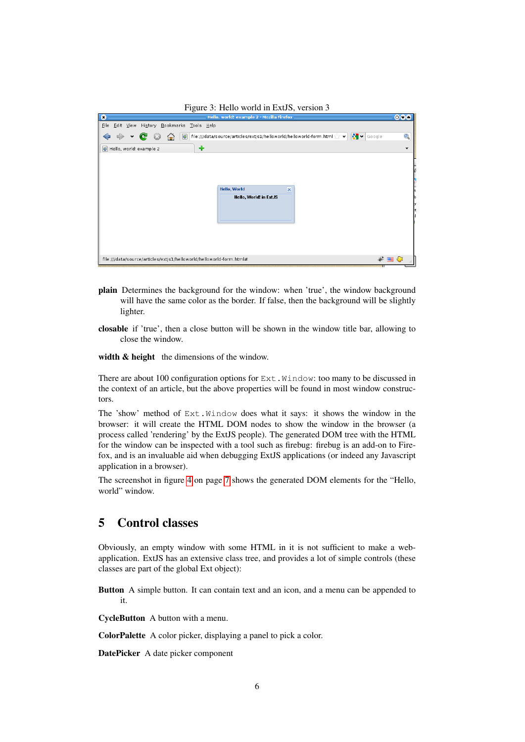<span id="page-5-0"></span>

| Figure 3: Hello world in ExtJS, version 3                                                                                                                |              |
|----------------------------------------------------------------------------------------------------------------------------------------------------------|--------------|
| Hello, world! example 2 - Mozilla Firefox<br>c                                                                                                           | 000          |
| History Bookmarks Tools Help<br>File<br>Edit View                                                                                                        |              |
| $\left \frac{\mathbf{P}}{\mathbf{P}}\right  \times$ Google<br>  file:///data/source/articles/extjs1/helloworld/helloworld-form.html   v  <br>$ 0\rangle$ | Q            |
| ♣<br>Hello, world! example 2<br>$ 0\rangle$                                                                                                              | $\checkmark$ |
| <b>Hello, World</b><br>$\overline{\mathsf{x}}$<br>Hello, World! in ExtJS                                                                                 |              |
| file:///data/source/articles/extjs1/helloworld/helloworld-form.html#<br>$* = c$                                                                          |              |

- plain Determines the background for the window: when 'true', the window background will have the same color as the border. If false, then the background will be slightly lighter.
- closable if 'true', then a close button will be shown in the window title bar, allowing to close the window.

width & height the dimensions of the window.

There are about 100 configuration options for  $Ext$ . Window: too many to be discussed in the context of an article, but the above properties will be found in most window constructors.

The 'show' method of Ext.Window does what it says: it shows the window in the browser: it will create the HTML DOM nodes to show the window in the browser (a process called 'rendering' by the ExtJS people). The generated DOM tree with the HTML for the window can be inspected with a tool such as firebug: firebug is an add-on to Firefox, and is an invaluable aid when debugging ExtJS applications (or indeed any Javascript application in a browser).

The screenshot in figure [4](#page-6-0) on page [7](#page-6-0) shows the generated DOM elements for the "Hello, world" window.

## 5 Control classes

Obviously, an empty window with some HTML in it is not sufficient to make a webapplication. ExtJS has an extensive class tree, and provides a lot of simple controls (these classes are part of the global Ext object):

Button A simple button. It can contain text and an icon, and a menu can be appended to it.

CycleButton A button with a menu.

ColorPalette A color picker, displaying a panel to pick a color.

DatePicker A date picker component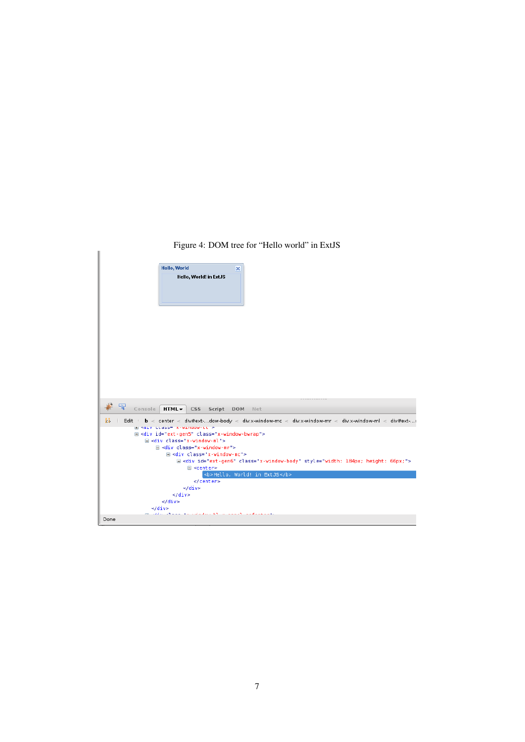### <span id="page-6-0"></span>Figure 4: DOM tree for "Hello world" in ExtJS

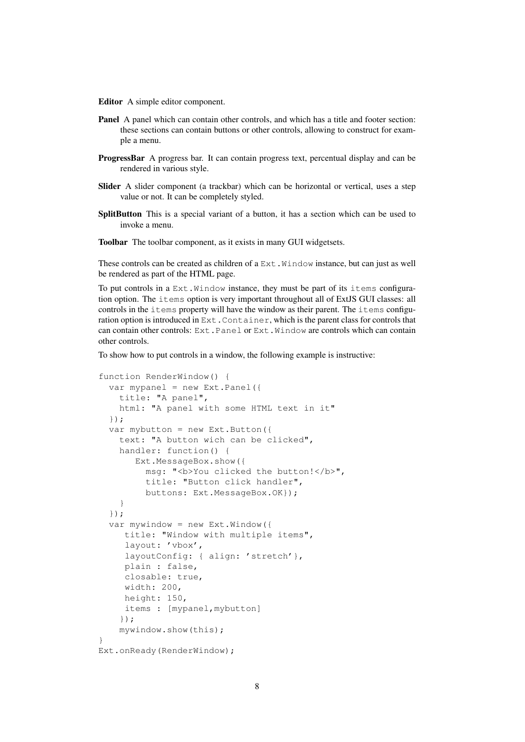Editor A simple editor component.

- Panel A panel which can contain other controls, and which has a title and footer section: these sections can contain buttons or other controls, allowing to construct for example a menu.
- ProgressBar A progress bar. It can contain progress text, percentual display and can be rendered in various style.
- Slider A slider component (a trackbar) which can be horizontal or vertical, uses a step value or not. It can be completely styled.
- SplitButton This is a special variant of a button, it has a section which can be used to invoke a menu.
- Toolbar The toolbar component, as it exists in many GUI widgetsets.

These controls can be created as children of a  $Ext$ . Window instance, but can just as well be rendered as part of the HTML page.

To put controls in a Ext.Window instance, they must be part of its items configuration option. The items option is very important throughout all of ExtJS GUI classes: all controls in the items property will have the window as their parent. The items configuration option is introduced in  $Ext$ . Container, which is the parent class for controls that can contain other controls: Ext.Panel or Ext.Window are controls which can contain other controls.

To show how to put controls in a window, the following example is instructive:

```
function RenderWindow() {
  var mypanel = new Ext. Panel({
    title: "A panel",
    html: "A panel with some HTML text in it"
  });
  var mybutton = new Ext.Button({
    text: "A button wich can be clicked",
    handler: function() {
       Ext.MessageBox.show({
         msg: "<br/>b>You clicked the button!</b>",
         title: "Button click handler",
         buttons: Ext.MessageBox.OK});
    }
  });
  var mywindow = new Ext.Window({
     title: "Window with multiple items",
     layout: 'vbox',
     layoutConfig: { align: 'stretch' },
     plain : false,
     closable: true,
     width: 200,
     height: 150,
     items : [mypanel, mybutton]
    });
    mywindow.show(this);
}
Ext.onReady(RenderWindow);
```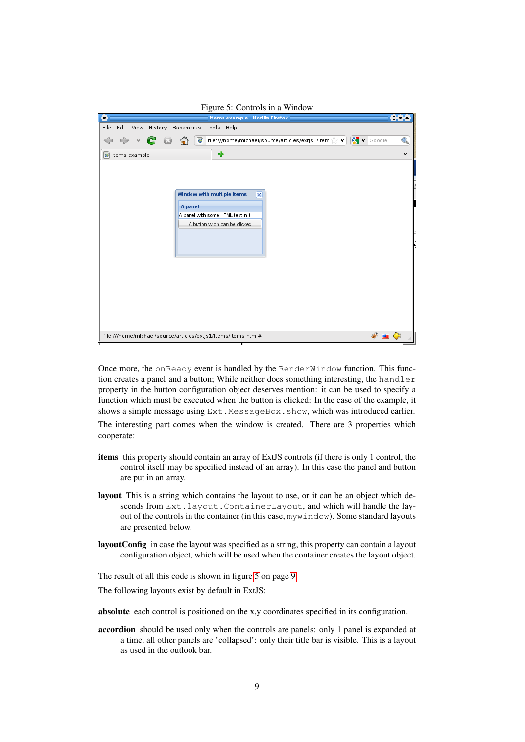<span id="page-8-0"></span>

Once more, the onReady event is handled by the RenderWindow function. This function creates a panel and a button; While neither does something interesting, the handler property in the button configuration object deserves mention: it can be used to specify a function which must be executed when the button is clicked: In the case of the example, it shows a simple message using Ext.MessageBox.show, which was introduced earlier.

The interesting part comes when the window is created. There are 3 properties which cooperate:

- items this property should contain an array of ExtJS controls (if there is only 1 control, the control itself may be specified instead of an array). In this case the panel and button are put in an array.
- layout This is a string which contains the layout to use, or it can be an object which descends from Ext.layout.ContainerLayout, and which will handle the layout of the controls in the container (in this case,  $m$ ywindow). Some standard layouts are presented below.
- layoutConfig in case the layout was specified as a string, this property can contain a layout configuration object, which will be used when the container creates the layout object.

The result of all this code is shown in figure [5](#page-8-0) on page [9.](#page-8-0)

The following layouts exist by default in ExtJS:

absolute each control is positioned on the x,y coordinates specified in its configuration.

accordion should be used only when the controls are panels: only 1 panel is expanded at a time, all other panels are 'collapsed': only their title bar is visible. This is a layout as used in the outlook bar.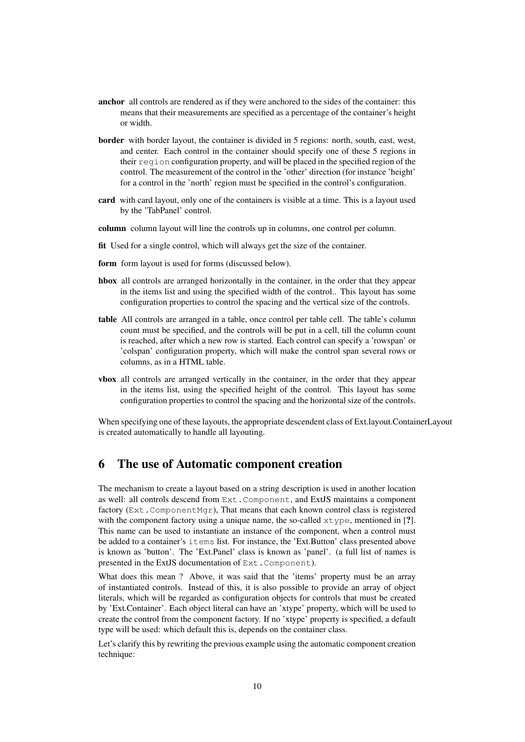- anchor all controls are rendered as if they were anchored to the sides of the container: this means that their measurements are specified as a percentage of the container's height or width.
- border with border layout, the container is divided in 5 regions: north, south, east, west, and center. Each control in the container should specify one of these 5 regions in their region configuration property, and will be placed in the specified region of the control. The measurement of the control in the 'other' direction (for instance 'height' for a control in the 'north' region must be specified in the control's configuration.
- card with card layout, only one of the containers is visible at a time. This is a layout used by the 'TabPanel' control.
- column column layout will line the controls up in columns, one control per column.
- fit Used for a single control, which will always get the size of the container.
- form form layout is used for forms (discussed below).
- hbox all controls are arranged horizontally in the container, in the order that they appear in the items list and using the specified width of the control.. This layout has some configuration properties to control the spacing and the vertical size of the controls.
- table All controls are arranged in a table, once control per table cell. The table's column count must be specified, and the controls will be put in a cell, till the column count is reached, after which a new row is started. Each control can specify a 'rowspan' or 'colspan' configuration property, which will make the control span several rows or columns, as in a HTML table.
- vbox all controls are arranged vertically in the container, in the order that they appear in the items list, using the specified height of the control. This layout has some configuration properties to control the spacing and the horizontal size of the controls.

When specifying one of these layouts, the appropriate descendent class of Ext.layout.ContainerLayout is created automatically to handle all layouting.

### 6 The use of Automatic component creation

The mechanism to create a layout based on a string description is used in another location as well: all controls descend from Ext.Component, and ExtJS maintains a component factory (Ext.ComponentMgr), That means that each known control class is registered with the component factory using a unique name, the so-called  $x \tau y$  pe, mentioned in [?]. This name can be used to instantiate an instance of the component, when a control must be added to a container's items list. For instance, the 'Ext.Button' class presented above is known as 'button'. The 'Ext.Panel' class is known as 'panel'. (a full list of names is presented in the ExtJS documentation of Ext.Component).

What does this mean ? Above, it was said that the 'items' property must be an array of instantiated controls. Instead of this, it is also possible to provide an array of object literals, which will be regarded as configuration objects for controls that must be created by 'Ext.Container'. Each object literal can have an 'xtype' property, which will be used to create the control from the component factory. If no 'xtype' property is specified, a default type will be used: which default this is, depends on the container class.

Let's clarify this by rewriting the previous example using the automatic component creation technique: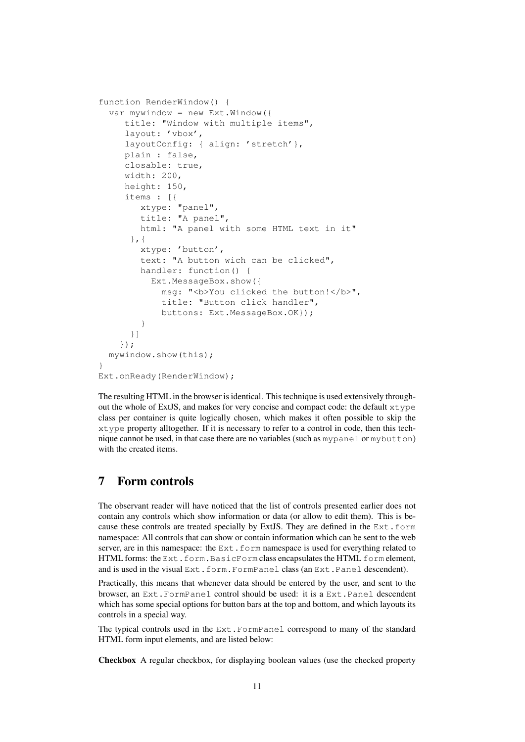```
function RenderWindow() {
  var mywindow = new Ext.Window({
     title: "Window with multiple items",
     layout: 'vbox',
     layoutConfig: { align: 'stretch'},
     plain : false,
     closable: true,
     width: 200,
     height: 150,
     items : [{
        xtype: "panel",
        title: "A panel",
        html: "A panel with some HTML text in it"
      },{
        xtype: 'button',
        text: "A button wich can be clicked",
        handler: function() {
          Ext.MessageBox.show({
            msq: "<br />b>You clicked the button!</b>",
            title: "Button click handler",
            buttons: Ext.MessageBox.OK});
        }
      }]
    });
 mywindow.show(this);
}
Ext.onReady(RenderWindow);
```
The resulting HTML in the browser is identical. This technique is used extensively throughout the whole of ExtJS, and makes for very concise and compact code: the default xtype class per container is quite logically chosen, which makes it often possible to skip the xtype property alltogether. If it is necessary to refer to a control in code, then this technique cannot be used, in that case there are no variables (such as mypanel or mybutton) with the created items.

## 7 Form controls

The observant reader will have noticed that the list of controls presented earlier does not contain any controls which show information or data (or allow to edit them). This is because these controls are treated specially by ExtJS. They are defined in the  $Ext.t.$  form namespace: All controls that can show or contain information which can be sent to the web server, are in this namespace: the Ext.form namespace is used for everything related to HTML forms: the Ext.form.BasicForm class encapsulates the HTML form element, and is used in the visual Ext.form.FormPanel class (an Ext.Panel descendent).

Practically, this means that whenever data should be entered by the user, and sent to the browser, an Ext.FormPanel control should be used: it is a Ext.Panel descendent which has some special options for button bars at the top and bottom, and which layouts its controls in a special way.

The typical controls used in the Ext.FormPanel correspond to many of the standard HTML form input elements, and are listed below:

Checkbox A regular checkbox, for displaying boolean values (use the checked property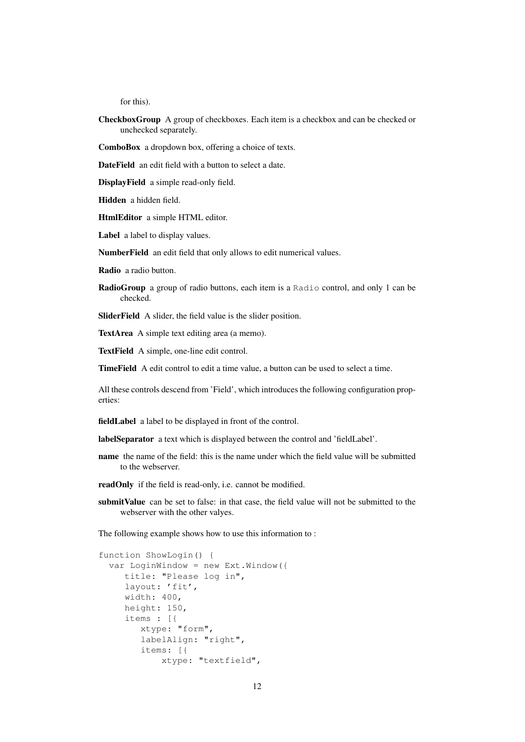for this).

- CheckboxGroup A group of checkboxes. Each item is a checkbox and can be checked or unchecked separately.
- ComboBox a dropdown box, offering a choice of texts.
- DateField an edit field with a button to select a date.

DisplayField a simple read-only field.

Hidden a hidden field.

HtmlEditor a simple HTML editor.

Label a label to display values.

NumberField an edit field that only allows to edit numerical values.

Radio a radio button.

RadioGroup a group of radio buttons, each item is a Radio control, and only 1 can be checked.

SliderField A slider, the field value is the slider position.

TextArea A simple text editing area (a memo).

TextField A simple, one-line edit control.

TimeField A edit control to edit a time value, a button can be used to select a time.

All these controls descend from 'Field', which introduces the following configuration properties:

fieldLabel a label to be displayed in front of the control.

labelSeparator a text which is displayed between the control and 'fieldLabel'.

- name the name of the field: this is the name under which the field value will be submitted to the webserver.
- readOnly if the field is read-only, i.e. cannot be modified.
- submitValue can be set to false: in that case, the field value will not be submitted to the webserver with the other valyes.

The following example shows how to use this information to :

```
function ShowLogin() {
  var LoginWindow = new Ext.Window({
     title: "Please log in",
     layout: 'fit',
     width: 400,
     height: 150,
     items : [{
        xtype: "form",
        labelAlign: "right",
        items: [{
            xtype: "textfield",
```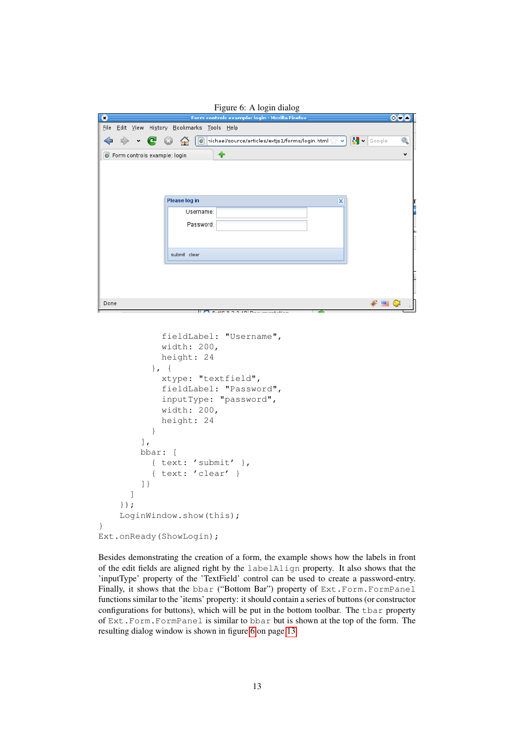<span id="page-12-0"></span>

|                                                                        | Figure 6: A login dialog                                                                                                                                                               |                  |
|------------------------------------------------------------------------|----------------------------------------------------------------------------------------------------------------------------------------------------------------------------------------|------------------|
| O                                                                      | Form controls example: login - Mozilla Firefox                                                                                                                                         | 004              |
| <b>File</b><br>$\bullet$<br>٠<br><b>O</b> Form controls example: login | Edit View Hi <u>s</u> tory Bookmarks Tools Help<br>B ×<br>$\boxed{\circ}$ nichael/source/articles/extjs1/forms/login.html $\left\langle \right\rangle \left. \right. \right\vert$<br>♣ | Q<br>Google<br>v |
|                                                                        | <b>Please log in</b><br>$\overline{\mathsf{x}}$<br>Username:<br>Password:                                                                                                              |                  |
|                                                                        | submit clear                                                                                                                                                                           |                  |
|                                                                        |                                                                                                                                                                                        |                  |

```
fieldLabel: "Username",
            width: 200,
            height: 24
          }, {
            xtype: "textfield",
            fieldLabel: "Password",
            inputType: "password",
            width: 200,
            height: 24
          }
        ],
        bbar: [
          { text: 'submit' },
          { text: 'clear' }
        ]}
      ]
    });
    LoginWindow.show(this);
Ext.onReady(ShowLogin);
```
}

Besides demonstrating the creation of a form, the example shows how the labels in front of the edit fields are aligned right by the labelAlign property. It also shows that the 'inputType' property of the 'TextField' control can be used to create a password-entry. Finally, it shows that the bbar ("Bottom Bar") property of Ext.Form.FormPanel functions similar to the 'items' property: it should contain a series of buttons (or constructor configurations for buttons), which will be put in the bottom toolbar. The tbar property of Ext.Form.FormPanel is similar to bbar but is shown at the top of the form. The resulting dialog window is shown in figure [6](#page-12-0) on page [13](#page-12-0)